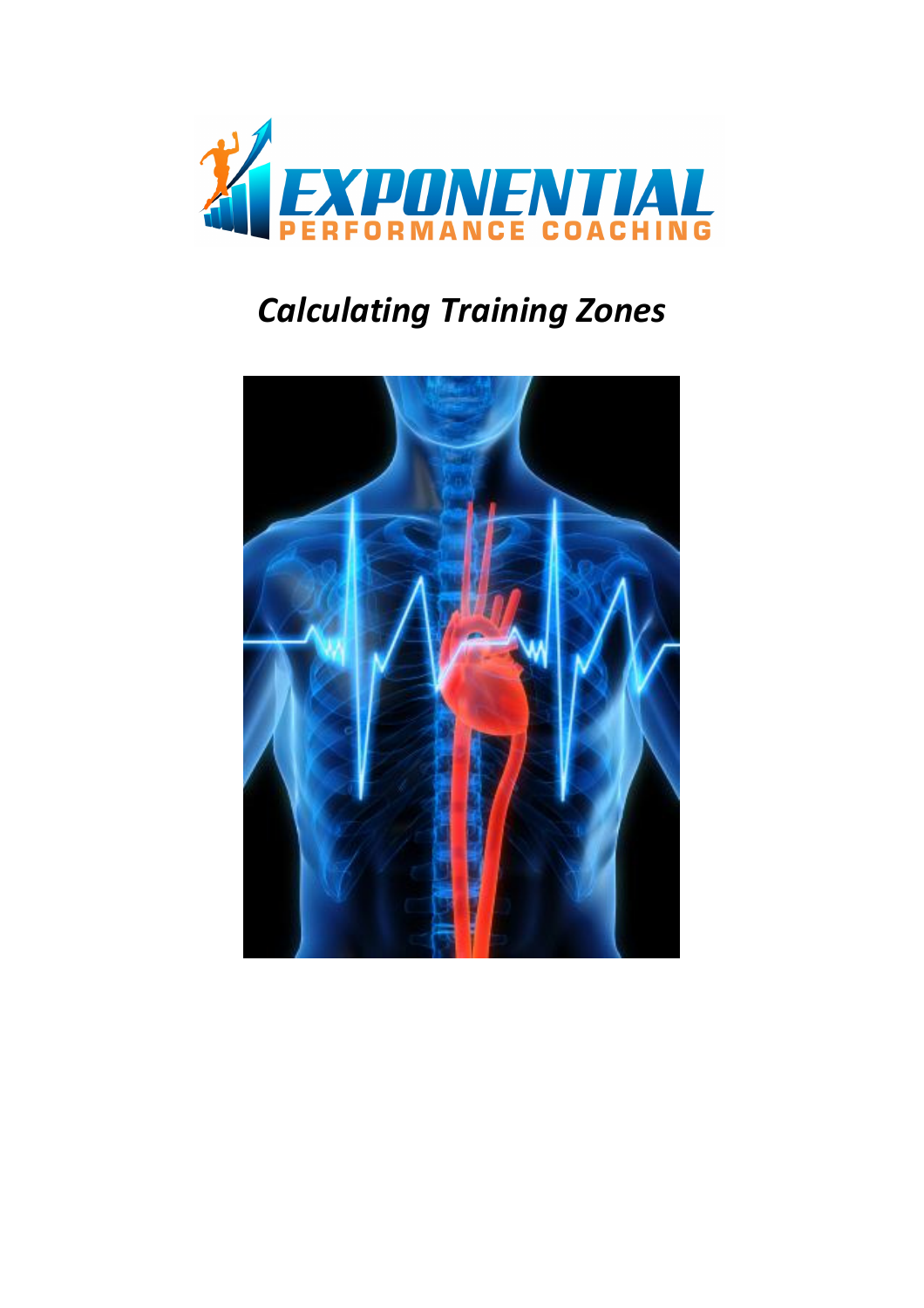

# Calculating Training Zones

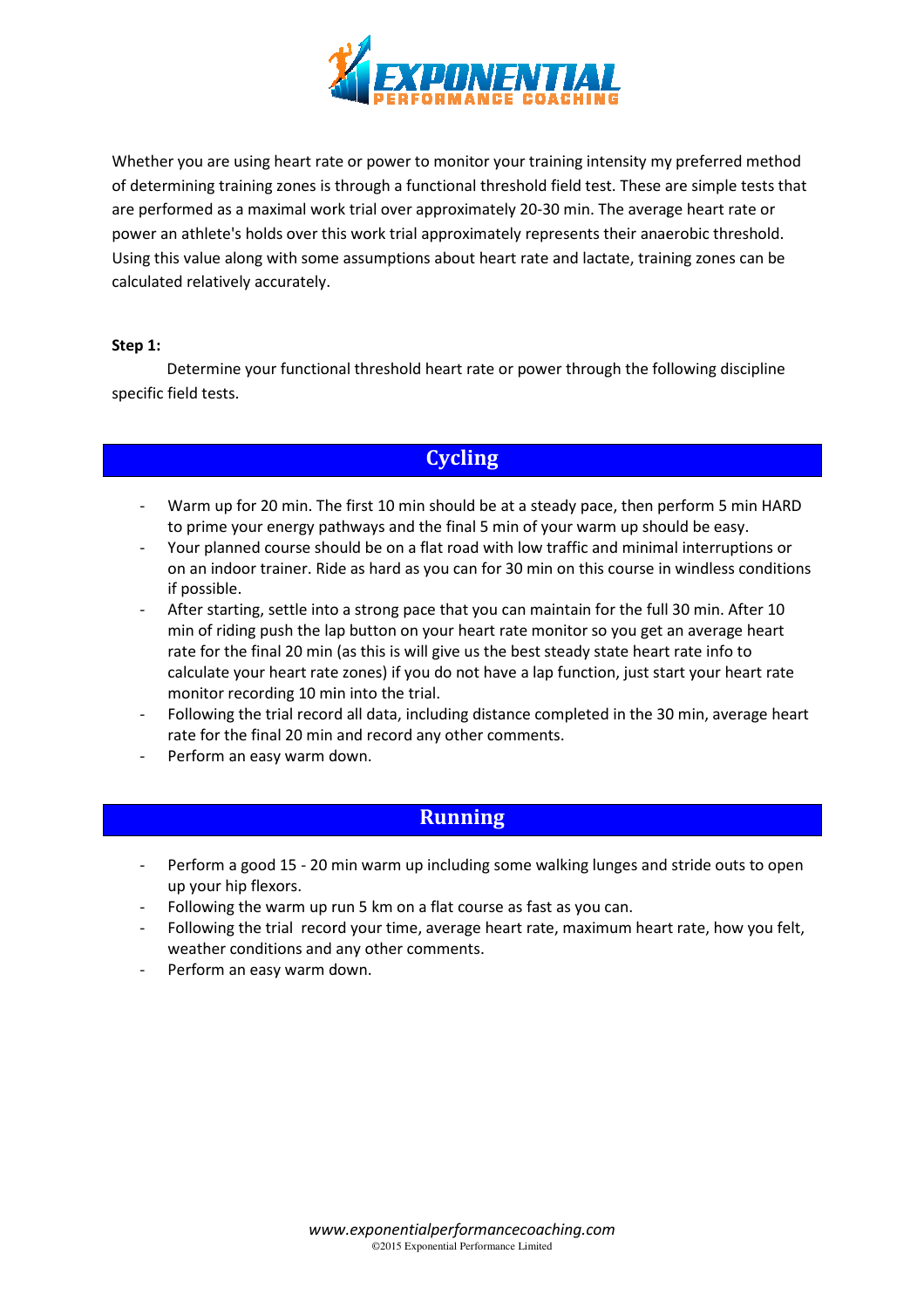

Whether you are using heart rate or power to monitor your training intensity my preferred method of determining training zones is through a functional threshold field test. These are simple tests that are performed as a maximal work trial over approximately 20-30 min. The average heart rate or<br>power an athlete's holds over this work trial approximately represents their anaerobic threshold.<br>Using this value along with so power an athlete's holds over this work trial approximately represents their anaerobic threshold. Using this value along with some assumptions about heart rate and lactate, training calculated relatively accurately.

#### Step 1:

Determine your functional threshold heart rate or power through the following discipline specific field tests.

## **Cycling**

- Warm up for 20 min. The first 10 min should be at a steady pace, then perform 5 min HARD to prime your energy pathways and the final 5 min of your warm up should be easy.
- Your planned course should be on a flat road with low traffic and minimal interruptions or on an indoor trainer. Ride as hard as you can for 30 min on this course in windless conditions if possible.
- After starting, settle into a strong pace that you can maintain for the full 30 min. After 10 min of riding push the lap button on your heart rate monitor so you get an average heart rate for the final 20 min (as this is will give us the best steady state heart rate info to calculate your heart rate zones) if you do not have a lap function, just start your heart rate monitor recording 10 min into the trial.
- Following the trial record all data, including distance completed in the 30 min, average heart rate for the final 20 min and record any other comments.
- Perform an easy warm down down.

## Running

- Perform a good 15 20 min warm up including some walking lunges and stride outs to open up your hip flexors.
- Following the warm up run 5 km on a flat course as fast as you can.
- Following the trial record your time, average heart rate, maximum heart rate, how you felt, weather conditions and any other comments. - Following the trial record you<br>
weather conditions and any of<br>
Perform an easy warm down.
-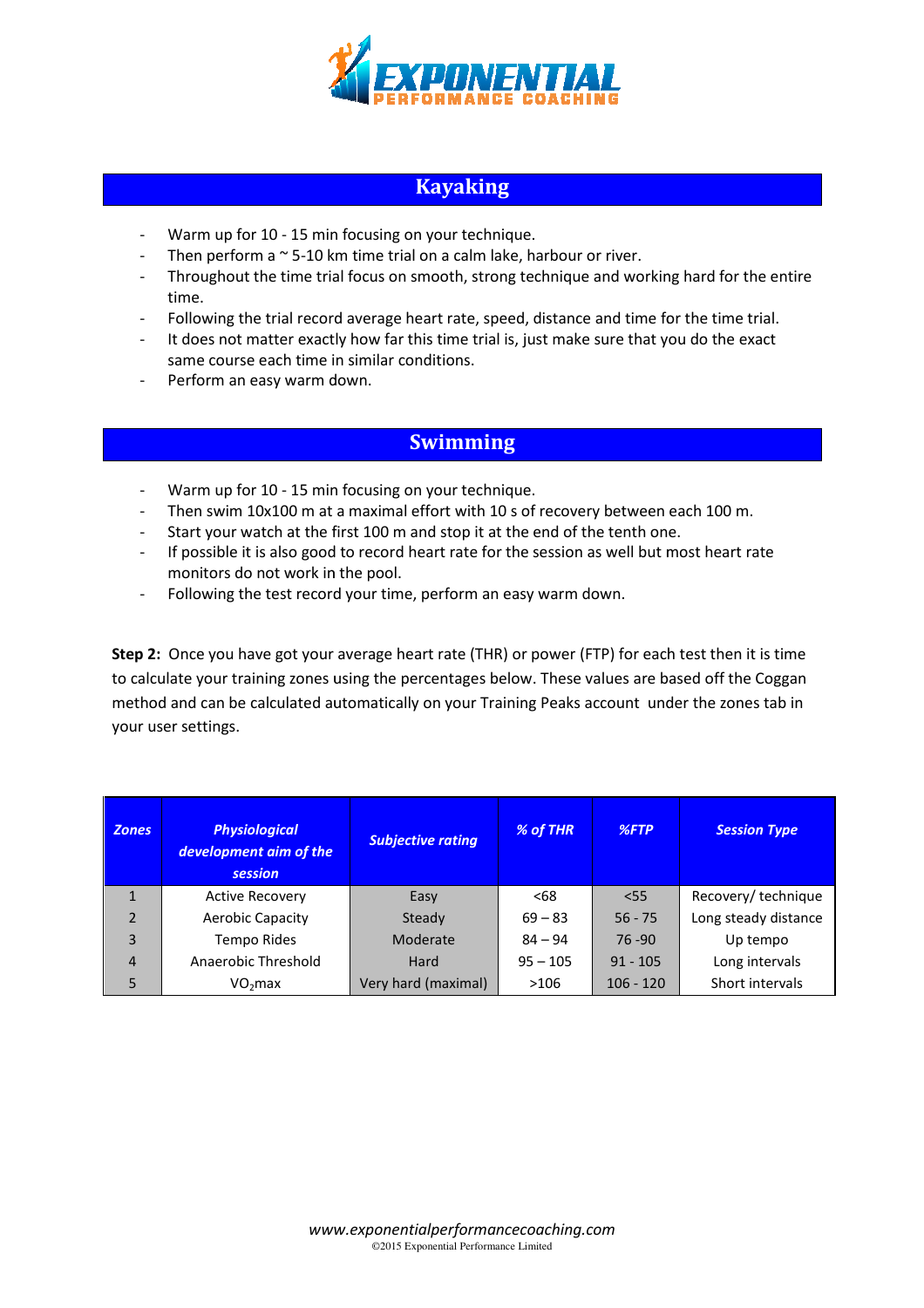

## Kayaking

- Warm up for 10 15 min focusing on your technique.
- Then perform a  $\sim$  5-10 km time trial on a calm lake, harbour or river.
- Throughout the time trial focus on smooth, strong technique and working hard for the entire time. -10 km time trial on a calm lake, harbour or river.<br>e trial focus on smooth, strong technique and working hard for the e<br>ecord average heart rate, speed, distance and time for the time trial.
- Following the trial record average heart rate, speed, distance and time for the time trial.
- It does not matter exactly how far this time trial is, just make sure that you do the exact same course each time in similar conditions. rt rate, speed, distance and time<br>time trial is, just make sure that<br>tiions.<br>**The read of the standard of the set of the set of the set of the tenth of**<br>the rate for the session as well but
- Perform an easy warm down down.

### Swimming

- Warm up for 10 15 min focusing on your technique.
- Then swim 10x100 m at a maximal effort with 10 s of recovery between each 100 m.
- Start your watch at the first 100 m and stop it at the end of the tenth one.
- Then swim 10x100 m at a maximal effort with 10 s of recovery between each 100 m.<br>- Start your watch at the first 100 m and stop it at the end of the tenth one.<br>- If possible it is also good to record heart rate for the s monitors do not work in the pool.
- Following the test record your time, perform an easy warm down down.

Step 2: Once you have got your average heart rate (THR) or power (FTP) for each test then it is time to calculate your training zones using the percentages below. These values are based off the Coggan method and can be calculated automatically on your Training Peaks account under the zones tab in your user settings.

| <b>Zones</b>   | <b>Physiological</b><br>development aim of the<br>session | <b>Subjective rating</b> | % of THR   | $%$ FTP     | <b>Session Type</b>  |
|----------------|-----------------------------------------------------------|--------------------------|------------|-------------|----------------------|
| 1              | <b>Active Recovery</b>                                    | Easy                     | <68        | $<$ 55      | Recovery/technique   |
| $\overline{2}$ | <b>Aerobic Capacity</b>                                   | Steady                   | $69 - 83$  | $56 - 75$   | Long steady distance |
| 3              | <b>Tempo Rides</b>                                        | Moderate                 | $84 - 94$  | $76 - 90$   | Up tempo             |
| $\overline{4}$ | Anaerobic Threshold                                       | Hard                     | $95 - 105$ | $91 - 105$  | Long intervals       |
| 5              | VO <sub>2</sub> max                                       | Very hard (maximal)      | >106       | $106 - 120$ | Short intervals      |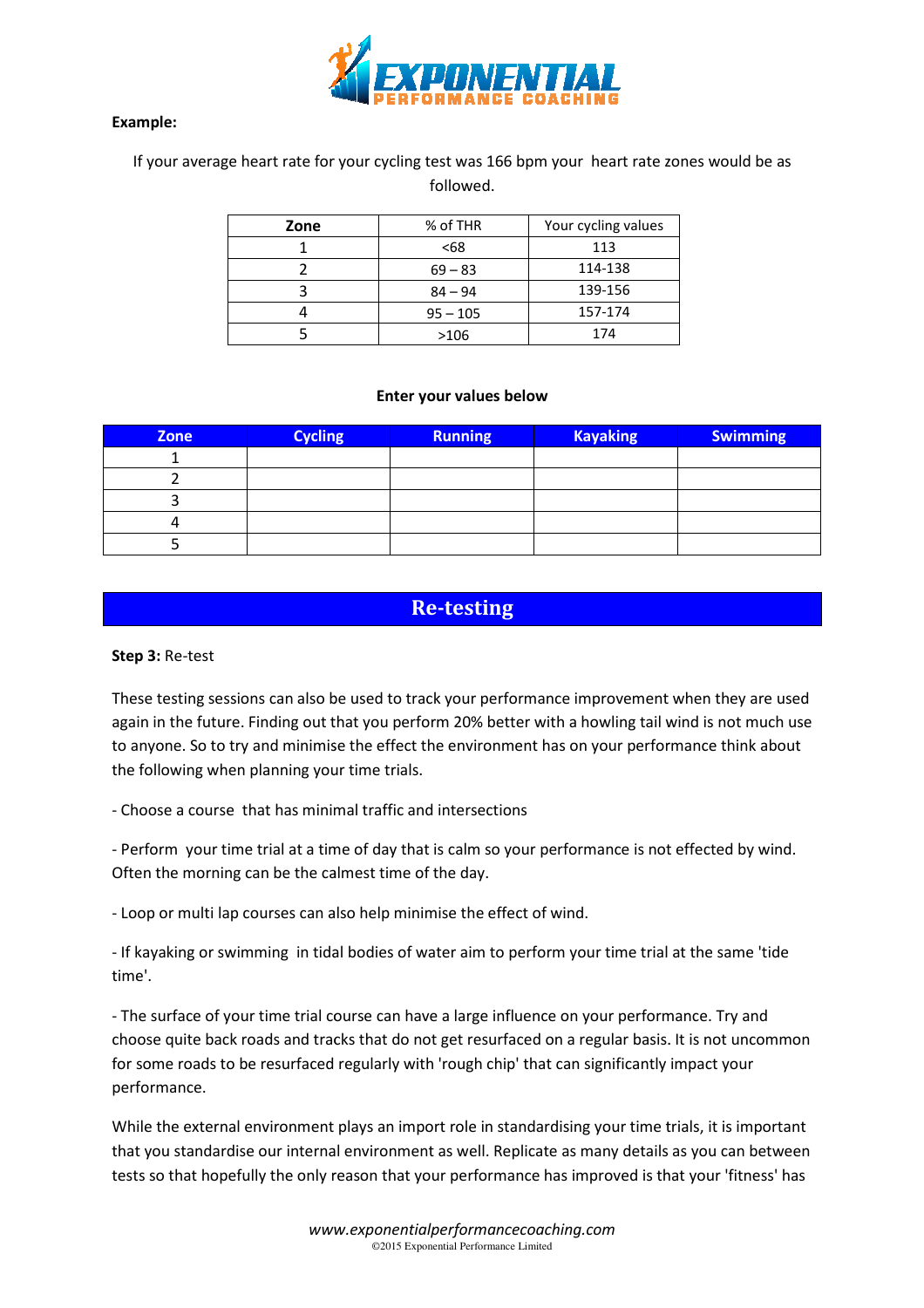

#### Example:

#### If your average heart rate for your cycling test was 166 bpm your heart rate zones would be as followed.

| Zone | % of THR   | Your cycling values |  |
|------|------------|---------------------|--|
|      | <68        | 113                 |  |
|      | $69 - 83$  | 114-138             |  |
|      | $84 - 94$  | 139-156             |  |
|      | $95 - 105$ | 157-174             |  |
|      | >106       | 174                 |  |

#### Enter your values below

| Zone                                                                                                                                                                                                                                                                                                                                                           | <b>Cycling</b> | <b>Running</b> | <b>Kayaking</b> | <b>Swimming</b> |  |  |  |  |  |
|----------------------------------------------------------------------------------------------------------------------------------------------------------------------------------------------------------------------------------------------------------------------------------------------------------------------------------------------------------------|----------------|----------------|-----------------|-----------------|--|--|--|--|--|
| 1                                                                                                                                                                                                                                                                                                                                                              |                |                |                 |                 |  |  |  |  |  |
| $\overline{2}$                                                                                                                                                                                                                                                                                                                                                 |                |                |                 |                 |  |  |  |  |  |
| 3                                                                                                                                                                                                                                                                                                                                                              |                |                |                 |                 |  |  |  |  |  |
| 4                                                                                                                                                                                                                                                                                                                                                              |                |                |                 |                 |  |  |  |  |  |
| 5                                                                                                                                                                                                                                                                                                                                                              |                |                |                 |                 |  |  |  |  |  |
|                                                                                                                                                                                                                                                                                                                                                                |                |                |                 |                 |  |  |  |  |  |
| <b>Re-testing</b>                                                                                                                                                                                                                                                                                                                                              |                |                |                 |                 |  |  |  |  |  |
| Step 3: Re-test                                                                                                                                                                                                                                                                                                                                                |                |                |                 |                 |  |  |  |  |  |
| These testing sessions can also be used to track your performance improvement when they are used<br>again in the future. Finding out that you perform 20% better with a howling tail wind is not much use<br>to anyone. So to try and minimise the effect the environment has on your performance think about<br>the following when planning your time trials. |                |                |                 |                 |  |  |  |  |  |
| - Choose a course that has minimal traffic and intersections                                                                                                                                                                                                                                                                                                   |                |                |                 |                 |  |  |  |  |  |
| - Perform your time trial at a time of day that is calm so your performance is not effected by wind.<br>Often the morning can be the calmest time of the day.                                                                                                                                                                                                  |                |                |                 |                 |  |  |  |  |  |
| - Loop or multi lap courses can also help minimise the effect of wind.                                                                                                                                                                                                                                                                                         |                |                |                 |                 |  |  |  |  |  |
| - If kayaking or swimming in tidal bodies of water aim to perform your time trial at the same 'tide<br>time'.                                                                                                                                                                                                                                                  |                |                |                 |                 |  |  |  |  |  |
| - The surface of your time trial course can have a large influence on your performance. Try and<br>choose quite back roads and tracks that do not get resurfaced on a regular basis. It is not uncommon<br>for some roads to be resurfaced regularly with 'rough chip' that can significantly impact your<br>performance.                                      |                |                |                 |                 |  |  |  |  |  |
| While the external environment plays an import role in standardising your time trials, it is important<br>that you standardise our internal environment as well. Replicate as many details as you can between<br>tests so that hopefully the only reason that your performance has improved is that your 'fitness' has                                         |                |                |                 |                 |  |  |  |  |  |

## Re-testing

#### Step 3: Re-test